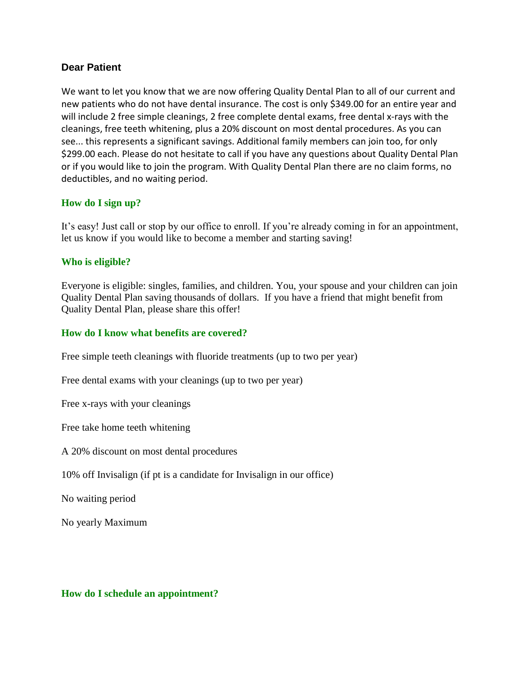#### **Dear Patient**

We want to let you know that we are now offering Quality Dental Plan to all of our current and new patients who do not have dental insurance. The cost is only \$349.00 for an entire year and will include 2 free simple cleanings, 2 free complete dental exams, free dental x-rays with the cleanings, free teeth whitening, plus a 20% discount on most dental procedures. As you can see... this represents a significant savings. Additional family members can join too, for only \$299.00 each. Please do not hesitate to call if you have any questions about Quality Dental Plan or if you would like to join the program. With Quality Dental Plan there are no claim forms, no deductibles, and no waiting period.

#### **How do I sign up?**

It's easy! Just call or stop by our office to enroll. If you're already coming in for an appointment, let us know if you would like to become a member and starting saving!

#### **Who is eligible?**

Everyone is eligible: singles, families, and children. You, your spouse and your children can join Quality Dental Plan saving thousands of dollars. If you have a friend that might benefit from Quality Dental Plan, please share this offer!

#### **How do I know what benefits are covered?**

Free simple teeth cleanings with fluoride treatments (up to two per year)

Free dental exams with your cleanings (up to two per year)

Free x-rays with your cleanings

Free take home teeth whitening

A 20% discount on most dental procedures

10% off Invisalign (if pt is a candidate for Invisalign in our office)

No waiting period

No yearly Maximum

#### **How do I schedule an appointment?**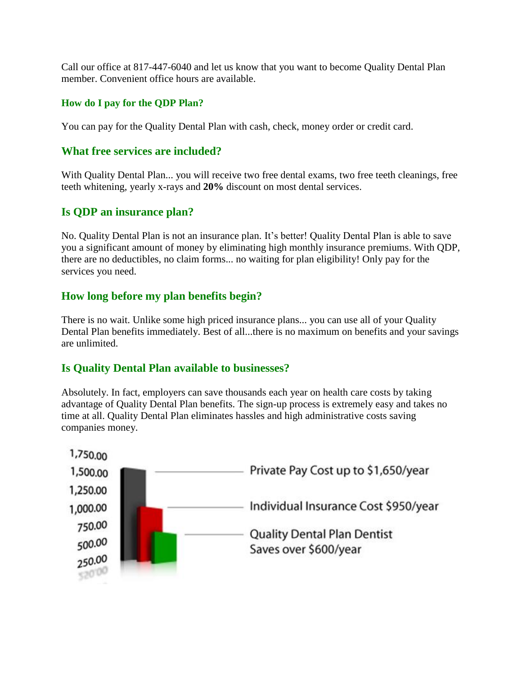Call our office at 817-447-6040 and let us know that you want to become Quality Dental Plan member. Convenient office hours are available.

### **How do I pay for the QDP Plan?**

You can pay for the Quality Dental Plan with cash, check, money order or credit card.

## **What free services are included?**

With Quality Dental Plan... you will receive two free dental exams, two free teeth cleanings, free teeth whitening, yearly x-rays and **20%** discount on most dental services.

## **Is QDP an insurance plan?**

No. Quality Dental Plan is not an insurance plan. It's better! Quality Dental Plan is able to save you a significant amount of money by eliminating high monthly insurance premiums. With QDP, there are no deductibles, no claim forms... no waiting for plan eligibility! Only pay for the services you need.

## **How long before my plan benefits begin?**

There is no wait. Unlike some high priced insurance plans... you can use all of your Quality Dental Plan benefits immediately. Best of all...there is no maximum on benefits and your savings are unlimited.

## **Is Quality Dental Plan available to businesses?**

Absolutely. In fact, employers can save thousands each year on health care costs by taking advantage of Quality Dental Plan benefits. The sign-up process is extremely easy and takes no time at all. Quality Dental Plan eliminates hassles and high administrative costs saving companies money.

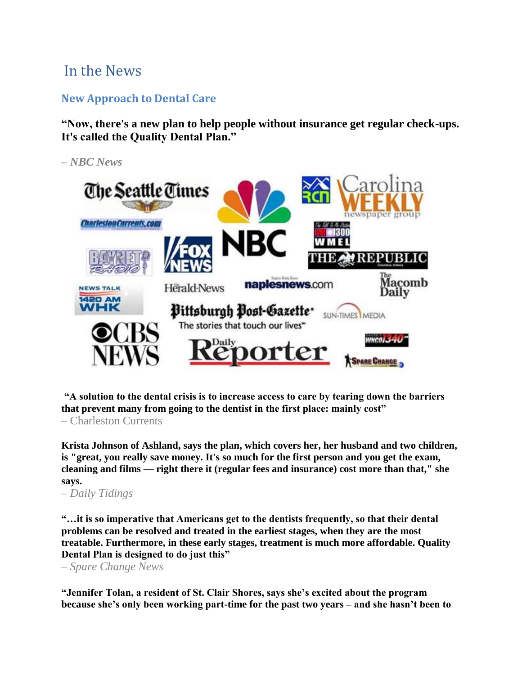# In the News

# **New Approach to Dental Care**

**―Now, there's a new plan to help people without insurance get regular check-ups.**  It's called the Quality Dental Plan."

*– NBC News*



**―A solution to the dental crisis is to increase access to care by tearing down the barriers that prevent many from going to the dentist in the first place: mainly cost"** 

– Charleston Currents

**Krista Johnson of Ashland, says the plan, which covers her, her husband and two children, is "great, you really save money. It's so much for the first person and you get the exam, cleaning and films — right there it (regular fees and insurance) cost more than that," she says.**

*– Daily Tidings*

**―…it is so imperative that Americans get to the dentists frequently, so that their dental problems can be resolved and treated in the earliest stages, when they are the most treatable. Furthermore, in these early stages, treatment is much more affordable. Quality Dental Plan is designed to do just this**"

*– Spare Change News*

**―Jennifer Tolan, a resident of St. Clair Shores, says she's excited about the program because she's only been working part-time for the past two years – and she hasn't been to**